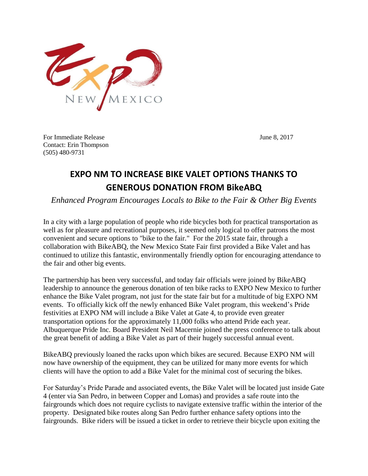

For Immediate Release June 8, 2017 Contact: Erin Thompson (505) 480-9731

## **EXPO NM TO INCREASE BIKE VALET OPTIONS THANKS TO GENEROUS DONATION FROM BikeABQ**

*Enhanced Program Encourages Locals to Bike to the Fair & Other Big Events*

In a city with a large population of people who ride bicycles both for practical transportation as well as for pleasure and recreational purposes, it seemed only logical to offer patrons the most convenient and secure options to "bike to the fair." For the 2015 state fair, through a collaboration with BikeABQ, the New Mexico State Fair first provided a Bike Valet and has continued to utilize this fantastic, environmentally friendly option for encouraging attendance to the fair and other big events.

The partnership has been very successful, and today fair officials were joined by BikeABQ leadership to announce the generous donation of ten bike racks to EXPO New Mexico to further enhance the Bike Valet program, not just for the state fair but for a multitude of big EXPO NM events. To officially kick off the newly enhanced Bike Valet program, this weekend's Pride festivities at EXPO NM will include a Bike Valet at Gate 4, to provide even greater transportation options for the approximately 11,000 folks who attend Pride each year. Albuquerque Pride Inc. Board President Neil Macernie joined the press conference to talk about the great benefit of adding a Bike Valet as part of their hugely successful annual event.

BikeABQ previously loaned the racks upon which bikes are secured. Because EXPO NM will now have ownership of the equipment, they can be utilized for many more events for which clients will have the option to add a Bike Valet for the minimal cost of securing the bikes.

For Saturday's Pride Parade and associated events, the Bike Valet will be located just inside Gate 4 (enter via San Pedro, in between Copper and Lomas) and provides a safe route into the fairgrounds which does not require cyclists to navigate extensive traffic within the interior of the property. Designated bike routes along San Pedro further enhance safety options into the fairgrounds. Bike riders will be issued a ticket in order to retrieve their bicycle upon exiting the